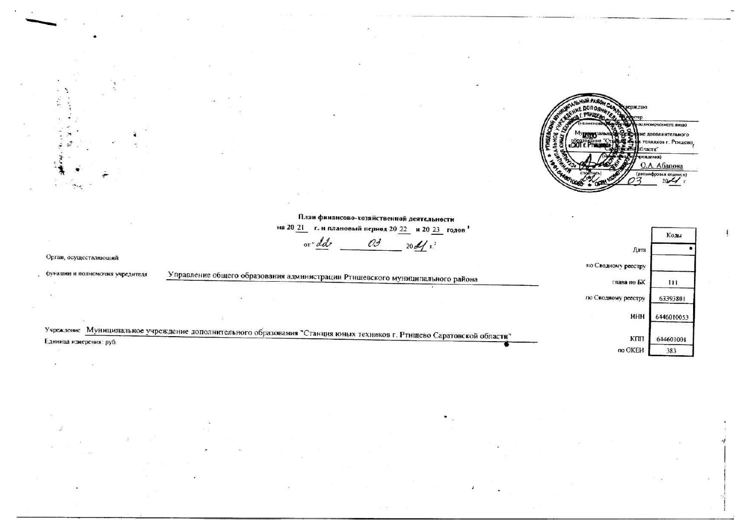WIGHTHE RASON CAN **HICARITY** сождаю (виного янца)  $\hat{B}$ Boundary Co пополнительного 美学家 техикков г. Ртицево, бласти" реждения)  $\frac{0.A. A6a$   $(positive)$   $(0.850 \text{ m} \cdot \text{m} \cdot \text{m} \cdot \text{m} \cdot \text{m} \cdot \text{m} \cdot \text{m} \cdot \text{m} \cdot \text{m} \cdot \text{m} \cdot \text{m} \cdot \text{m} \cdot \text{m} \cdot \text{m} \cdot \text{m} \cdot \text{m} \cdot \text{m} \cdot \text{m} \cdot \text{m} \cdot \text{m} \cdot \text{m} \cdot \text{m} \cdot \text{m} \cdot \text{m} \cdot \text{m} \cdot \text{m} \cdot \text{m} \cdot \text{m} \cdot$ 

|                                 | План финансово-хозяйственной деятельности                                                                              |                     |                  |
|---------------------------------|------------------------------------------------------------------------------------------------------------------------|---------------------|------------------|
|                                 | на 20 21<br>г. и плановый период 20 22 и 20 23 годов                                                                   |                     | Колы             |
| Орган, осуществляющий           | 03<br>or "dd"<br>20d                                                                                                   | Дата                |                  |
|                                 |                                                                                                                        | по Сводному ресстру |                  |
| функции и полномочия учредителя | Управление общего образования администрации Ртишевского муниципального района                                          | глава по БК         | 111              |
|                                 |                                                                                                                        | по Сводному реестру | 63393801         |
|                                 |                                                                                                                        | ИНН                 | 6446010053       |
|                                 | Учреждение Муницилальное учреждение дополнительного образования "Станция юных техников г. Ртищево Саратовской области" | KIIII               |                  |
| Единица измерения: руб.         |                                                                                                                        | по ОКЕИ             | 644601001<br>383 |

 $\gamma_{\rm AG}$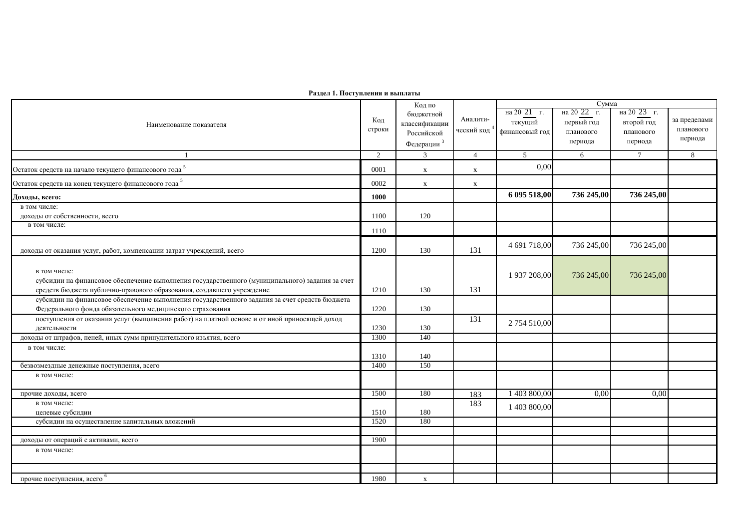| Раздел 1. Поступления и выплаты                                                                 |                |                        |                |                                                    |            |                 |              |  |
|-------------------------------------------------------------------------------------------------|----------------|------------------------|----------------|----------------------------------------------------|------------|-----------------|--------------|--|
|                                                                                                 | Код            | Код по<br>бюджетной    |                | Сумма<br>на 20 21 г.<br>на 20 23 г.<br>на 20 22 г. |            |                 |              |  |
| Наименование показателя                                                                         |                | классификации          | Аналити-       | текущий                                            | первый год | второй год      | за пределами |  |
|                                                                                                 |                | Российской             | ческий код     | финансовый год                                     | планового  | планового       | планового    |  |
|                                                                                                 |                | Федерации <sup>3</sup> |                |                                                    | периода    | периода         | периода      |  |
|                                                                                                 | $\overline{2}$ | $\overline{3}$         | $\overline{4}$ | 5                                                  | 6          | $7\phantom{.0}$ | 8            |  |
| Остаток средств на начало текущего финансового года <sup>5</sup>                                | 0001           | $\mathbf x$            | $\mathbf x$    | 0,00                                               |            |                 |              |  |
| Остаток средств на конец текущего финансового года <sup>5</sup>                                 | 0002           | $\mathbf x$            | $\mathbf X$    |                                                    |            |                 |              |  |
| Доходы, всего:                                                                                  | 1000           |                        |                | 6 095 518,00                                       | 736 245,00 | 736 245,00      |              |  |
| в том числе:                                                                                    |                |                        |                |                                                    |            |                 |              |  |
| доходы от собственности, всего                                                                  | 1100           | 120                    |                |                                                    |            |                 |              |  |
| в том числе:                                                                                    | 1110           |                        |                |                                                    |            |                 |              |  |
| доходы от оказания услуг, работ, компенсации затрат учреждений, всего                           | 1200           | 130                    | 131            | 4 691 718,00                                       | 736 245,00 | 736 245,00      |              |  |
|                                                                                                 |                |                        |                |                                                    |            |                 |              |  |
| в том числе:                                                                                    |                |                        |                |                                                    |            |                 |              |  |
| субсидии на финансовое обеспечение выполнения государственного (муниципального) задания за счет |                |                        |                | 1 937 208,00                                       | 736 245,00 | 736 245,00      |              |  |
| средств бюджета публично-правового образования, создавшего учреждение                           | 1210           | 130                    | 131            |                                                    |            |                 |              |  |
| субсидии на финансовое обеспечение выполнения государственного задания за счет средств бюджета  |                |                        |                |                                                    |            |                 |              |  |
| Федерального фонда обязательного медицинского страхования                                       | 1220           | 130                    |                |                                                    |            |                 |              |  |
| поступления от оказания услуг (выполнения работ) на платной основе и от иной приносящей доход   |                |                        | 131            |                                                    |            |                 |              |  |
| деятельности                                                                                    | 1230           | 130                    |                | 2 754 510,00                                       |            |                 |              |  |
| доходы от штрафов, пеней, иных сумм принудительного изъятия, всего                              | 1300           | 140                    |                |                                                    |            |                 |              |  |
| в том числе:                                                                                    |                |                        |                |                                                    |            |                 |              |  |
|                                                                                                 | 1310           | 140                    |                |                                                    |            |                 |              |  |
| безвозмездные денежные поступления, всего                                                       | 1400           | 150                    |                |                                                    |            |                 |              |  |
| в том числе:                                                                                    |                |                        |                |                                                    |            |                 |              |  |
| прочие доходы, всего                                                                            | 1500           | 180                    | 183            | 1 403 800,00                                       | 0,00       | 0,00            |              |  |
| в том числе:                                                                                    |                |                        | 183            | 1 403 800,00                                       |            |                 |              |  |
| целевые субсидии                                                                                | 1510           | 180                    |                |                                                    |            |                 |              |  |
| субсидии на осуществление капитальных вложений                                                  | 1520           | 180                    |                |                                                    |            |                 |              |  |
| доходы от операций с активами, всего                                                            | 1900           |                        |                |                                                    |            |                 |              |  |
| в том числе:                                                                                    |                |                        |                |                                                    |            |                 |              |  |
|                                                                                                 |                |                        |                |                                                    |            |                 |              |  |
| прочие поступления, всего <sup>6</sup>                                                          | 1980           | $\mathbf{x}$           |                |                                                    |            |                 |              |  |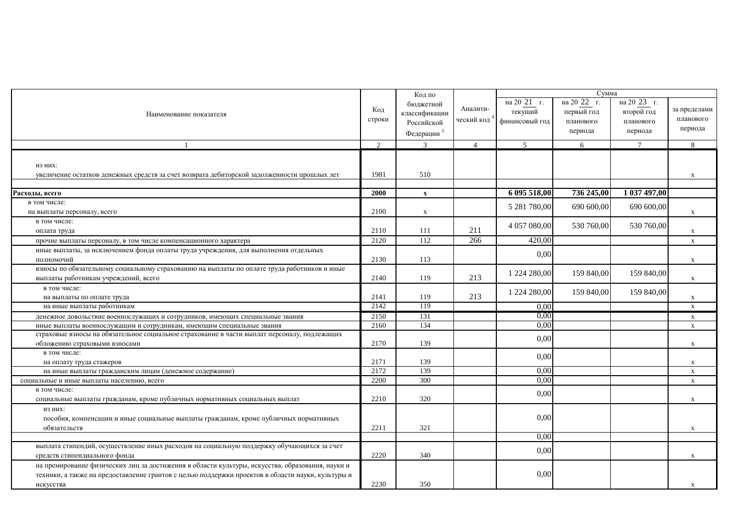|                                                                                                   |               | Код по                 |                |                | Сумма       |                 |              |
|---------------------------------------------------------------------------------------------------|---------------|------------------------|----------------|----------------|-------------|-----------------|--------------|
|                                                                                                   |               | бюджетной              |                | на 20 21 г.    | на 20 22 г. | на 20 23 г.     |              |
| Наименование показателя                                                                           | Код           | классификации          | Аналити-       | текущий        | первый год  | второй год      | за пределами |
|                                                                                                   | строки        | Российской             | ческий код     | финансовый год | планового   | планового       | планового    |
|                                                                                                   |               | Федерации <sup>3</sup> |                |                | периода     | периода         | периода      |
|                                                                                                   | $\mathcal{D}$ | $\overline{3}$         | $\overline{4}$ | $\sqrt{5}$     | 6           | $7\overline{ }$ | 8            |
|                                                                                                   |               |                        |                |                |             |                 |              |
| ИЗ НИХ:                                                                                           |               |                        |                |                |             |                 |              |
| увеличение остатков денежных средств за счет возврата дебиторской задолженности прошлых лет       | 1981          | 510                    |                |                |             |                 | X            |
|                                                                                                   |               |                        |                |                |             |                 |              |
| Расходы, всего                                                                                    | 2000          | $\mathbf{x}$           |                | 6 095 518,00   | 736 245,00  | 1 037 497,00    |              |
| в том числе:                                                                                      |               |                        |                |                |             |                 |              |
| на выплаты персоналу, всего                                                                       | 2100          | $\mathbf X$            |                | 5 281 780,00   | 690 600,00  | 690 600,00      | X            |
| в том числе:                                                                                      |               |                        |                |                |             |                 |              |
| оплата труда                                                                                      | 2110          | 111                    | 211            | 4 057 080,00   | 530 760,00  | 530 760,00      | X            |
| прочие выплаты персоналу, в том числе компенсационного характера                                  | 2120          | 112                    | 266            | 420,00         |             |                 | $\mathbf x$  |
| иные выплаты, за исключением фонда оплаты труда учреждения, для выполнения отдельных              |               |                        |                |                |             |                 |              |
| полномочий                                                                                        | 2130          | 113                    |                | 0,00           |             |                 | X            |
| взносы по обязательному социальному страхованию на выплаты по оплате труда работников и иные      |               |                        |                | 1 224 280,00   | 159 840,00  | 159 840,00      |              |
| выплаты работникам учреждений, всего                                                              | 2140          | 119                    | 213            |                |             |                 | $\mathbf X$  |
| в том числе:                                                                                      |               |                        |                | 1 224 280,00   | 159 840,00  | 159 840,00      |              |
| на выплаты по оплате труда                                                                        | 2141          | 119                    | 213            |                |             |                 | X            |
| на иные выплаты работникам                                                                        | 2142          | 119                    |                | 0.00           |             |                 | $\mathbf X$  |
| денежное довольствие военнослужащих и сотрудников, имеющих специальные звания                     | 2150          | 131                    |                | 0.00           |             |                 | $\mathbf X$  |
| иные выплаты военнослужащим и сотрудникам, имеющим специальные звания                             | 2160          | 134                    |                | 0,00           |             |                 | $\mathbf X$  |
| страховые взносы на обязательное социальное страхование в части выплат персоналу, подлежащих      |               |                        |                | 0,00           |             |                 |              |
| обложению страховыми взносами                                                                     | 2170          | 139                    |                |                |             |                 | $\mathbf X$  |
| в том числе:                                                                                      |               |                        |                | 0,00           |             |                 |              |
| на оплату труда стажеров                                                                          | 2171          | 139                    |                |                |             |                 | $\mathbf X$  |
| на иные выплаты гражданским лицам (денежное содержание)                                           | 2172          | 139                    |                | 0,00           |             |                 | $\mathbf X$  |
| социальные и иные выплаты населению, всего                                                        | 2200          | 300                    |                | 0,00           |             |                 | X            |
| в том числе:                                                                                      |               |                        |                | 0,00           |             |                 |              |
| социальные выплаты гражданам, кроме публичных нормативных социальных выплат                       | 2210          | 320                    |                |                |             |                 | X            |
| ИЗ НИХ:                                                                                           |               |                        |                |                |             |                 |              |
| пособия, компенсации и иные социальные выплаты гражданам, кроме публичных нормативных             |               |                        |                | 0,00           |             |                 |              |
| обязательств                                                                                      | 2211          | 321                    |                |                |             |                 | X            |
|                                                                                                   |               |                        |                | 0,00           |             |                 |              |
| выплата стипендий, осуществление иных расходов на социальную поддержку обучающихся за счет        |               |                        |                | 0,00           |             |                 |              |
| средств стипендиального фонда                                                                     | 2220          | 340                    |                |                |             |                 | X            |
| на премирование физических лиц за достижения в области культуры, искусства, образования, науки и  |               |                        |                |                |             |                 |              |
| техники, а также на предоставление грантов с целью поддержки проектов в области науки, культуры и |               |                        |                | 0,00           |             |                 |              |
| искусства                                                                                         | 2230          | 350                    |                |                |             |                 | X            |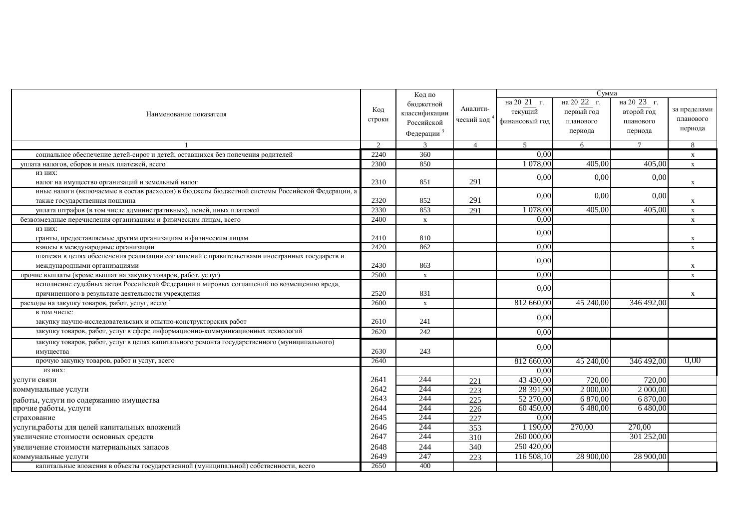|                                                                                                                                               |               | Код по                                                             |                        |                                          | Сумма                                             |                                                   |                                      |
|-----------------------------------------------------------------------------------------------------------------------------------------------|---------------|--------------------------------------------------------------------|------------------------|------------------------------------------|---------------------------------------------------|---------------------------------------------------|--------------------------------------|
| Наименование показателя                                                                                                                       | Код<br>строки | бюджетной<br>классификации<br>Российской<br>Федерации <sup>3</sup> | Аналити-<br>ческий код | на 20 21 г.<br>текущий<br>финансовый год | на 20 22 г.<br>первый год<br>планового<br>периода | на 20 23 г.<br>второй год<br>планового<br>периода | за пределами<br>планового<br>периода |
|                                                                                                                                               | $\mathcal{D}$ | 3                                                                  | $\overline{4}$         | $\sim$                                   | 6                                                 | $7\phantom{.0}$                                   | 8                                    |
| социальное обеспечение детей-сирот и детей, оставшихся без попечения родителей                                                                | 2240          | 360                                                                |                        | 0,00                                     |                                                   |                                                   | X                                    |
| уплата налогов, сборов и иных платежей, всего                                                                                                 | 2300          | 850                                                                |                        | 1 078,00                                 | 405,00                                            | 405,00                                            | $\mathbf X$                          |
| ИЗ НИХ:<br>налог на имущество организаций и земельный налог                                                                                   | 2310          | 851                                                                | 291                    | 0,00                                     | 0,00                                              | 0,00                                              | X                                    |
| иные налоги (включаемые в состав расходов) в бюджеты бюджетной системы Российской Федерации, а<br>также государственная пошлина               | 2320          | 852                                                                | 291                    | 0,00                                     | 0,00                                              | 0,00                                              | X                                    |
| уплата штрафов (в том числе административных), пеней, иных платежей                                                                           | 2330          | 853                                                                | 291                    | 1 078,00                                 | 405,00                                            | 405,00                                            | $\mathbf X$                          |
| безвозмездные перечисления организациям и физическим лицам, всего                                                                             | 2400          | $\mathbf{x}$                                                       |                        | 0,00                                     |                                                   |                                                   | $\mathbf X$                          |
| ИЗ НИХ:<br>гранты, предоставляемые другим организациям и физическим лицам                                                                     | 2410          | 810                                                                |                        | 0,00                                     |                                                   |                                                   | $\mathbf x$                          |
| взносы в международные организации                                                                                                            | 2420          | 862                                                                |                        | 0.00                                     |                                                   |                                                   | X                                    |
| платежи в целях обеспечения реализации соглашений с правительствами иностранных государств и<br>международными организациями                  | 2430          | 863                                                                |                        | 0,00                                     |                                                   |                                                   | $\mathbf X$                          |
| прочие выплаты (кроме выплат на закупку товаров, работ, услуг)                                                                                | 2500          | $\mathbf X$                                                        |                        | 0.00                                     |                                                   |                                                   | $\mathbf X$                          |
| исполнение судебных актов Российской Федерации и мировых соглашений по возмещению вреда,<br>причиненного в результате деятельности учреждения | 2520          | 831                                                                |                        | 0,00                                     |                                                   |                                                   | X                                    |
| расходы на закупку товаров, работ, услуг, всего                                                                                               | 2600          | $\mathbf X$                                                        |                        | 812 660,00                               | 45 240,00                                         | 346 492,00                                        |                                      |
| в том числе:                                                                                                                                  |               |                                                                    |                        |                                          |                                                   |                                                   |                                      |
| закупку научно-исследовательских и опытно-конструкторских работ                                                                               | 2610          | 241                                                                |                        | 0,00                                     |                                                   |                                                   |                                      |
| закупку товаров, работ, услуг в сфере информационно-коммуникационных технологий                                                               | 2620          | 242                                                                |                        | 0,00                                     |                                                   |                                                   |                                      |
| закупку товаров, работ, услуг в целях капитального ремонта государственного (муниципального)<br>имущества                                     | 2630          | 243                                                                |                        | 0,00                                     |                                                   |                                                   |                                      |
| прочую закупку товаров, работ и услуг, всего                                                                                                  | 2640          |                                                                    |                        | 812 660,00                               | 45 240,00                                         | 346 492,00                                        | 0,00                                 |
| ИЗ НИХ:                                                                                                                                       |               |                                                                    |                        | 0,00                                     |                                                   |                                                   |                                      |
| услуги связи                                                                                                                                  | 2641          | 244                                                                | 221                    | 43 430,00                                | 720,00                                            | 720,00                                            |                                      |
| коммунальные услуги                                                                                                                           | 2642          | 244                                                                | 223                    | 28 391,90                                | 2 000,00                                          | 2 000,00                                          |                                      |
| работы, услуги по содержанию имущества                                                                                                        | 2643          | 244                                                                | 225                    | 52 270,00                                | 6 870,00                                          | 6 870,00                                          |                                      |
| прочие работы, услуги                                                                                                                         | 2644          | 244                                                                | 226                    | 60 450,00                                | 6 480,00                                          | 6480.00                                           |                                      |
| страхование                                                                                                                                   | 2645          | 244                                                                | 227                    | 0.00                                     |                                                   |                                                   |                                      |
| услуги, работы для целей капитальных вложений                                                                                                 | 2646          | 244                                                                | 353                    | 1 190,00                                 | 270,00                                            | 270,00                                            |                                      |
| увеличение стоимости основных средств                                                                                                         | 2647          | 244                                                                | 310                    | 260 000,00                               |                                                   | 301 252,00                                        |                                      |
| увеличение стоимости материальных запасов                                                                                                     | 2648          | 244                                                                | 340                    | 250 420,00                               |                                                   |                                                   |                                      |
| коммунальные услуги                                                                                                                           | 2649          | 247                                                                | 223                    | 116 508,10                               | 28 900,00                                         | 28 900,00                                         |                                      |
| капитальные вложения в объекты государственной (муниципальной) собственности, всего                                                           | 2650          | 400                                                                |                        |                                          |                                                   |                                                   |                                      |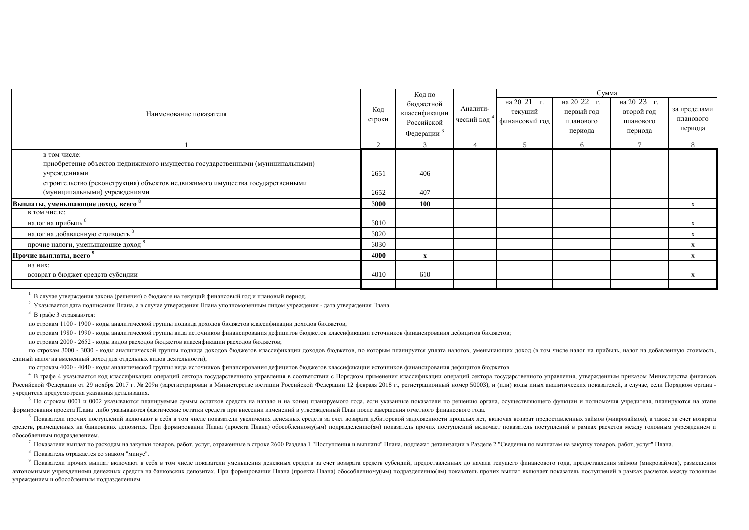|                                                                                               |                | Код по                                                |                        |                                          | Сумма                                          |                                                   |                                      |
|-----------------------------------------------------------------------------------------------|----------------|-------------------------------------------------------|------------------------|------------------------------------------|------------------------------------------------|---------------------------------------------------|--------------------------------------|
| Наименование показателя                                                                       | Код<br>строки  | бюджетной<br>классификации<br>Российской<br>Федерации | Аналити-<br>ческий код | на 20 21 г.<br>текущий<br>финансовый год | на 20 22<br>первый год<br>планового<br>периода | на 20 23 г.<br>второй год<br>планового<br>периода | за пределами<br>планового<br>периода |
|                                                                                               | $\overline{2}$ | $\mathcal{R}$                                         |                        |                                          | 6                                              | $\overline{ }$                                    | 8                                    |
| в том числе:<br>приобретение объектов недвижимого имущества государственными (муниципальными) |                |                                                       |                        |                                          |                                                |                                                   |                                      |
| учреждениями                                                                                  | 2651           | 406                                                   |                        |                                          |                                                |                                                   |                                      |
| строительство (реконструкция) объектов недвижимого имущества государственными                 |                |                                                       |                        |                                          |                                                |                                                   |                                      |
| (муниципальными) учреждениями                                                                 | 2652           | 407                                                   |                        |                                          |                                                |                                                   |                                      |
| Выплаты, уменьшающие доход, всего $^8$                                                        | 3000           | <b>100</b>                                            |                        |                                          |                                                |                                                   | X                                    |
| в том числе:                                                                                  |                |                                                       |                        |                                          |                                                |                                                   |                                      |
| налог на прибыль                                                                              | 3010           |                                                       |                        |                                          |                                                |                                                   | X                                    |
| налог на добавленную стоимость                                                                | 3020           |                                                       |                        |                                          |                                                |                                                   | X                                    |
| прочие налоги, уменьшающие доход                                                              | 3030           |                                                       |                        |                                          |                                                |                                                   | X                                    |
| Прочие выплаты, всего "                                                                       | 4000           | $\mathbf{x}$                                          |                        |                                          |                                                |                                                   | X                                    |
| ИЗ НИХ:                                                                                       |                |                                                       |                        |                                          |                                                |                                                   |                                      |
| возврат в бюджет средств субсидии                                                             | 4010           | 610                                                   |                        |                                          |                                                |                                                   | X                                    |
|                                                                                               |                |                                                       |                        |                                          |                                                |                                                   |                                      |

<sup>1</sup> В случае утверждения закона (решения) о бюджете на текущий финансовый год и плановый период.

 $^2$  Указывается дата подписания Плана, а в случае утверждения Плана уполномоченным лицом учреждения - дата утверждения Плана.

 $3$  В графе 3 отражаются:

по строкам 1100 - 1900 - колы аналитической группы полвила лохолов бюлжетов классификации лохолов бюлжетов:

по строкам 1980 - 1990 - коды аналитической группы вида источников финансирования дефицитов бюджетов классификации источников финансирования дефицитов бюджетов;

по строкам 2000 - 2652 - коды видов расходов бюджетов классификации расходов бюджетов;

по строкам 3000 - 3030 - коды аналитической группы подвида доходов бюджетов классификации доходов бюджетов, по которым планируется уплата налогов, уменьшающих доход (в том числе налог на прибыль, налог на добавленную стоим единый налог на вмененный доход для отдельных видов деятельности);

по строкам 4000 - 4040 - коды аналитической группы вида источников финансирования дефицитов билаетних дефератов.

4 В графе 4 указывается код классификации операций сектора государственного управления в соответствии с Порядком применения классификации операций сектора государственного управления, утвержденным приказом Министерства фин Российской Федерации от 29 ноября 2017 г. № 209н (зарегистрирован в Министерстве юстиции Российской Федерации 12 февраля 2018 г., регистрационный номер 50003), и (или) коды иных аналитических показателей, в случае, если П учредителя предусмотрена указанная детализация.

<sup>5</sup> По строкам 0001 и 0002 указываются планируемые суммы остатков средств на начало и на конец планируемого года, если указанные показатели по решению органа, осуществляющего функции и полномочия учредителя, планируются н формирования проекта Плана либо указываются фактические остатки средств при внесении изменений в утвержденный План после завершения отчетного финансового года.

• Показатели прочих поступлений включают в себя в том числе показатели увеличения денежных средств за счет возврата дебиторской задолженности прошлых лет, включая возврат предоставленных займов (микрозаймов), а также за сч средств, размещенных на банковских депозитах. При формировании Плана (проекта Плана) обособленному(ым) подразделению(ям) показатель прочих поступлений включает показатель поступлений в рамках расчетов между головным учрежд обособленным полразлелением.

<sup>7</sup> Показатели выплат по расходам на закупки товаров, работ, услуг, отраженные в строке 2600 Раздела 1 "Поступления и выплаты" Плана, подлежат детализации в Разделе 2 "Сведения по выплатам на закупку товаров, работ, услуг

<sup>8</sup> Показатель отражается со знаком "минус".

9 Показатели прочих выплат включают в себя в том числе показатели уменьшения денежных средств за счет возврата средств субсидий, предоставленных до начала текущего финансового года, предоставления займов (микрозаймов), раз автономными учреждениями денежных средств на банковских депозитах. При формировании Плана (проекта Плана) обособленному(ым) подразделению(ям) показатель прочих выплат включает показатель поступлений в рамках расчетов между учреждением и обособленным подразделением.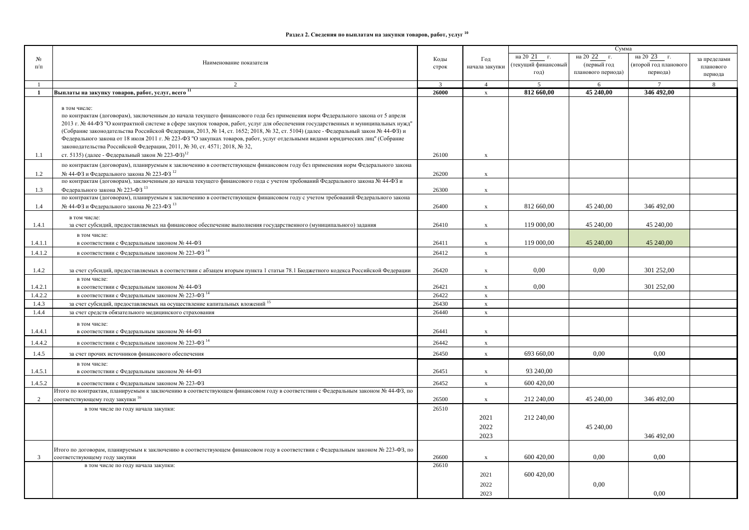## Раздел 2. Сведения по выплатам на закупки товаров, работ, услуг <sup>10</sup>

|                |                                                                                                                                    |               |                |                    | Сумма                 |                       |              |
|----------------|------------------------------------------------------------------------------------------------------------------------------------|---------------|----------------|--------------------|-----------------------|-----------------------|--------------|
| N <sub>0</sub> |                                                                                                                                    | Коды          | Год            | на 20 21 г.        | на 20 22<br>$\Gamma.$ | на 20 23 г.           | за пределами |
| $\Pi/\Pi$      | Наименование показателя                                                                                                            | строк         | начала закупки | текущий финансовый | (первый год           | (второй год планового | планового    |
|                |                                                                                                                                    |               |                | год)               | планового периода)    | периода)              | периода      |
|                | 2                                                                                                                                  | $\mathcal{R}$ | $\overline{4}$ | 5                  | 6                     | $7\phantom{.0}$       | 8            |
| 1              | Выплаты на закупку товаров, работ, услуг, всего 11                                                                                 | 26000         | $\mathbf x$    | 812 660,00         | 45 240,00             | 346 492,00            |              |
|                |                                                                                                                                    |               |                |                    |                       |                       |              |
|                | в том числе:                                                                                                                       |               |                |                    |                       |                       |              |
|                | по контрактам (договорам), заключенным до начала текущего финансового года без применения норм Федерального закона от 5 апреля     |               |                |                    |                       |                       |              |
|                | 2013 г. № 44-ФЗ "О контрактной системе в сфере закупок товаров, работ, услуг для обеспечения государственных и муниципальных нужд" |               |                |                    |                       |                       |              |
|                | (Собрание законодательства Российской Федерации, 2013, № 14, ст. 1652; 2018, № 32, ст. 5104) (далее - Федеральный закон № 44-ФЗ) и |               |                |                    |                       |                       |              |
|                | Федерального закона от 18 июля 2011 г. № 223-ФЗ "О закупках товаров, работ, услуг отдельными видами юридических лиц" (Собрание     |               |                |                    |                       |                       |              |
|                | законодательства Российской Федерации, 2011, № 30, ст. 4571; 2018, № 32,                                                           |               |                |                    |                       |                       |              |
| 1.1            | ст. 5135) (далее - Федеральный закон № 223-ФЗ) <sup>12</sup>                                                                       | 26100         | $\mathbf x$    |                    |                       |                       |              |
|                | по контрактам (договорам), планируемым к заключению в соответствующем финансовом году без применения норм Федерального закона      |               |                |                    |                       |                       |              |
| 1.2            | № 44-ФЗ и Федерального закона № 223-ФЗ 12                                                                                          | 26200         | $\mathbf{x}$   |                    |                       |                       |              |
|                | по контрактам (договорам), заключенным до начала текущего финансового года с учетом требований Федерального закона № 44-ФЗ и       |               |                |                    |                       |                       |              |
| 1.3            | Федерального закона № 223-ФЗ 13                                                                                                    | 26300         | $\mathbf{x}$   |                    |                       |                       |              |
|                | по контрактам (договорам), планируемым к заключению в соответствующем финансовом году с учетом требований Федерального закона      |               |                |                    |                       |                       |              |
| 1.4            | $N2$ 44-ФЗ и Федерального закона № 223-ФЗ $13$                                                                                     | 26400         | $\mathbf x$    | 812 660,00         | 45 240,00             | 346 492,00            |              |
|                | в том числе:                                                                                                                       |               |                |                    |                       |                       |              |
| 1.4.1          | за счет субсидий, предоставляемых на финансовое обеспечение выполнения государственного (муниципального) задания                   | 26410         | $\mathbf x$    | 119 000,00         | 45 240,00             | 45 240,00             |              |
|                | в том числе:                                                                                                                       |               |                |                    |                       |                       |              |
| 1.4.1.1        | в соответствии с Федеральным законом № 44-ФЗ                                                                                       | 26411         | $\mathbf x$    | 119 000,00         | 45 240,00             | 45 240,00             |              |
| 1.4.1.2        | в соответствии с Федеральным законом № 223-ФЗ 14                                                                                   | 26412         | $\mathbf x$    |                    |                       |                       |              |
|                |                                                                                                                                    |               |                |                    |                       |                       |              |
| 1.4.2          | за счет субсидий, предоставляемых в соответствии с абзацем вторым пункта 1 статьи 78.1 Бюджетного кодекса Российской Федерации     | 26420         |                | 0.00               | 0.00                  | 301 252,00            |              |
|                |                                                                                                                                    |               | $\mathbf x$    |                    |                       |                       |              |
| 1.4.2.1        | в том числе:<br>в соответствии с Федеральным законом № 44-ФЗ                                                                       | 26421         | $\mathbf{x}$   | 0.00               |                       | 301 252,00            |              |
| 1.4.2.2        | в соответствии с Федеральным законом № 223-ФЗ 14                                                                                   | 26422         | $\mathbf x$    |                    |                       |                       |              |
| 1.4.3          | за счет субсидий, предоставляемых на осуществление капитальных вложений 15                                                         | 26430         | $\mathbf x$    |                    |                       |                       |              |
| 1.4.4          | за счет средств обязательного медицинского страхования                                                                             | 26440         | $\mathbf{x}$   |                    |                       |                       |              |
|                |                                                                                                                                    |               |                |                    |                       |                       |              |
|                | в том числе:                                                                                                                       |               |                |                    |                       |                       |              |
| 1.4.4.1        | в соответствии с Федеральным законом № 44-ФЗ                                                                                       | 26441         | $\mathbf x$    |                    |                       |                       |              |
| 1.4.4.2        | в соответствии с Федеральным законом № 223-ФЗ 14                                                                                   | 26442         | $\mathbf x$    |                    |                       |                       |              |
| 1.4.5          | за счет прочих источников финансового обеспечения                                                                                  | 26450         | $\mathbf x$    | 693 660,00         | 0.00                  | 0.00                  |              |
|                | в том числе:                                                                                                                       |               |                |                    |                       |                       |              |
| 1.4.5.1        | в соответствии с Федеральным законом № 44-ФЗ                                                                                       | 26451         | $\mathbf x$    | 93 240,00          |                       |                       |              |
| 1.4.5.2        | в соответствии с Федеральным законом № 223-ФЗ                                                                                      | 26452         | $\mathbf x$    | 600 420,00         |                       |                       |              |
|                | Итого по контрактам, планируемым к заключению в соответствующем финансовом году в соответствии с Федеральным законом № 44-ФЗ, по   |               |                |                    |                       |                       |              |
| 2              | соответствующему году закупки <sup>16</sup>                                                                                        | 26500         | $\mathbf{x}$   | 212 240,00         | 45 240,00             | 346 492,00            |              |
|                | в том числе по году начала закупки:                                                                                                | 26510         |                |                    |                       |                       |              |
|                |                                                                                                                                    |               | 2021           | 212 240,00         |                       |                       |              |
|                |                                                                                                                                    |               |                |                    |                       |                       |              |
|                |                                                                                                                                    |               | 2022           |                    | 45 240,00             |                       |              |
|                |                                                                                                                                    |               | 2023           |                    |                       | 346 492,00            |              |
|                | Итого по договорам, планируемым к заключению в соответствующем финансовом году в соответствии с Федеральным законом № 223-ФЗ, по   |               |                |                    |                       |                       |              |
| 3              | соответствующему году закупки                                                                                                      | 26600         | $\mathbf{x}$   | 600 420,00         | 0,00                  | 0,00                  |              |
|                | в том числе по году начала закупки:                                                                                                | 26610         |                |                    |                       |                       |              |
|                |                                                                                                                                    |               | 2021           | 600 420,00         |                       |                       |              |
|                |                                                                                                                                    |               | 2022           |                    | 0.00                  |                       |              |
|                |                                                                                                                                    |               | 2023           |                    |                       | 0.00                  |              |
|                |                                                                                                                                    |               |                |                    |                       |                       |              |